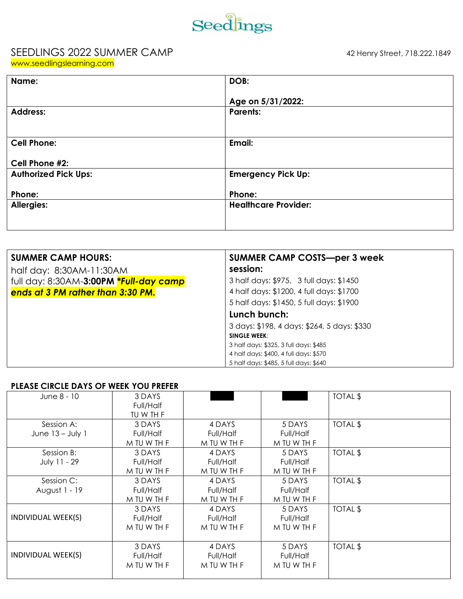

## SEEDLINGS 2022 SUMMER CAMP 42 Henry Street, 718.222.1849

| www.seedlingslearning.com |  |  |
|---------------------------|--|--|
|                           |  |  |
|                           |  |  |

| Name:                       | DOB:                        |
|-----------------------------|-----------------------------|
|                             | Age on 5/31/2022:           |
|                             |                             |
| <b>Address:</b>             | <b>Parents:</b>             |
|                             |                             |
|                             |                             |
| <b>Cell Phone:</b>          | Email:                      |
|                             |                             |
| Cell Phone #2:              |                             |
| <b>Authorized Pick Ups:</b> | <b>Emergency Pick Up:</b>   |
|                             |                             |
| Phone:                      | Phone:                      |
|                             |                             |
| <b>Allergies:</b>           | <b>Healthcare Provider:</b> |
|                             |                             |
|                             |                             |
|                             |                             |

| <b>SUMMER CAMP HOURS:</b>              | <b>SUMMER CAMP COSTS-per 3 week</b>         |
|----------------------------------------|---------------------------------------------|
| half day: 8:30AM-11:30AM               | session:                                    |
| full day: 8:30AM-3:00PM *Full-day camp | 3 half days: \$975, 3 full days: \$1450     |
| ends at 3 PM rather than 3:30 PM.      | 4 half days: \$1200, 4 full days: \$1700    |
|                                        | 5 half days: \$1450, 5 full days: \$1900    |
|                                        | Lunch bunch:                                |
|                                        | 3 days: \$198, 4 days: \$264, 5 days: \$330 |
|                                        | <b>SINGLE WEEK:</b>                         |
|                                        | 3 half days: \$325, 3 full days: \$485      |
|                                        | 4 half days: \$400, 4 full days: \$570      |
|                                        | 5 half days: \$485, 5 full days: \$640      |

## PLEASE CIRCLE DAYS OF WEEK YOU PREFER

| June 8 - 10                      | 3 DAYS<br>Full/Half<br>TU W TH F   |                                    |                                    | TOTAL \$ |
|----------------------------------|------------------------------------|------------------------------------|------------------------------------|----------|
| Session A:<br>June $13 - July 1$ | 3 DAYS<br>Full/Half<br>M TU W TH F | 4 DAYS<br>Full/Half<br>M TU W TH F | 5 DAYS<br>Full/Half<br>M TU W TH F | TOTAL \$ |
| Session B:<br>July 11 - 29       | 3 DAYS<br>Full/Half<br>M TU W TH F | 4 DAYS<br>Full/Half<br>M TU W TH F | 5 DAYS<br>Full/Half<br>M TU W TH F | TOTAL \$ |
| Session C:<br>August 1 - 19      | 3 DAYS<br>Full/Half<br>M TU W TH F | 4 DAYS<br>Full/Half<br>M TU W TH F | 5 DAYS<br>Full/Half<br>M TU W TH F | TOTAL \$ |
| INDIVIDUAL WEEK(S)               | 3 DAYS<br>Full/Half<br>M TU W TH F | 4 DAYS<br>Full/Half<br>M TU W TH F | 5 DAYS<br>Full/Half<br>M TU W TH F | TOTAL \$ |
| INDIVIDUAL WEEK(S)               | 3 DAYS<br>Full/Half<br>M TU W TH F | 4 DAYS<br>Full/Half<br>M TU W TH F | 5 DAYS<br>Full/Half<br>M TU W TH F | TOTAL \$ |